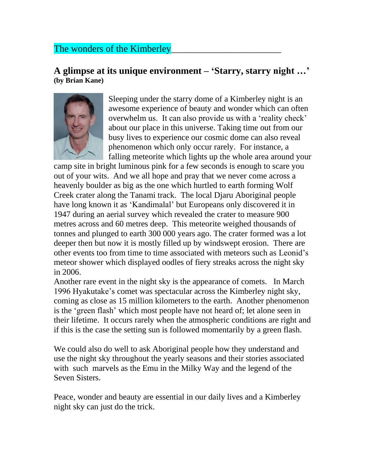## The wonders of the Kimberley

## **A glimpse at its unique environment – 'Starry, starry night …' (by Brian Kane)**



Sleeping under the starry dome of a Kimberley night is an awesome experience of beauty and wonder which can often overwhelm us. It can also provide us with a 'reality check' about our place in this universe. Taking time out from our busy lives to experience our cosmic dome can also reveal phenomenon which only occur rarely. For instance, a falling meteorite which lights up the whole area around your

camp site in bright luminous pink for a few seconds is enough to scare you out of your wits. And we all hope and pray that we never come across a heavenly boulder as big as the one which hurtled to earth forming Wolf Creek crater along the Tanami track. The local Djaru Aboriginal people have long known it as 'Kandimalal' but Europeans only discovered it in 1947 during an aerial survey which revealed the crater to measure 900 metres across and 60 metres deep. This meteorite weighed thousands of tonnes and plunged to earth 300 000 years ago. The crater formed was a lot deeper then but now it is mostly filled up by windswept erosion. There are other events too from time to time associated with meteors such as Leonid's meteor shower which displayed oodles of fiery streaks across the night sky in 2006.

Another rare event in the night sky is the appearance of comets. In March 1996 Hyakutake's comet was spectacular across the Kimberley night sky, coming as close as 15 million kilometers to the earth. Another phenomenon is the 'green flash' which most people have not heard of; let alone seen in their lifetime. It occurs rarely when the atmospheric conditions are right and if this is the case the setting sun is followed momentarily by a green flash.

We could also do well to ask Aboriginal people how they understand and use the night sky throughout the yearly seasons and their stories associated with such marvels as the Emu in the Milky Way and the legend of the Seven Sisters.

Peace, wonder and beauty are essential in our daily lives and a Kimberley night sky can just do the trick.